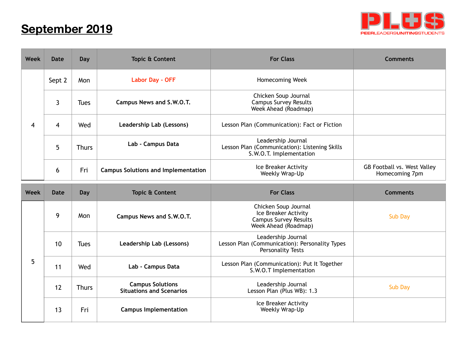## **September 2019**



| <b>Week</b> | <b>Date</b>  | Day          | <b>Topic &amp; Content</b>                                 | <b>For Class</b>                                                                                     | <b>Comments</b>                               |
|-------------|--------------|--------------|------------------------------------------------------------|------------------------------------------------------------------------------------------------------|-----------------------------------------------|
| 4           | Sept 2       | Mon          | <b>Labor Day - OFF</b>                                     | Homecoming Week                                                                                      |                                               |
|             | $\mathbf{3}$ | <b>Tues</b>  | Campus News and S.W.O.T.                                   | Chicken Soup Journal<br><b>Campus Survey Results</b><br>Week Ahead (Roadmap)                         |                                               |
|             | 4            | Wed          | Leadership Lab (Lessons)                                   | Lesson Plan (Communication): Fact or Fiction                                                         |                                               |
|             | 5            | <b>Thurs</b> | Lab - Campus Data                                          | Leadership Journal<br>Lesson Plan (Communication): Listening Skills<br>S.W.O.T. Implementation       |                                               |
|             | 6            | Fri          | <b>Campus Solutions and Implementation</b>                 | Ice Breaker Activity<br>Weekly Wrap-Up                                                               | GB Football vs. West Valley<br>Homecoming 7pm |
| Week        | <b>Date</b>  | Day          | Topic & Content                                            | <b>For Class</b>                                                                                     | <b>Comments</b>                               |
|             |              |              |                                                            |                                                                                                      |                                               |
|             | 9            | Mon          | Campus News and S.W.O.T.                                   | Chicken Soup Journal<br>Ice Breaker Activity<br><b>Campus Survey Results</b><br>Week Ahead (Roadmap) | Sub Day                                       |
|             | 10           | <b>Tues</b>  | Leadership Lab (Lessons)                                   | Leadership Journal<br>Lesson Plan (Communication): Personality Types<br><b>Personality Tests</b>     |                                               |
| 5           | 11           | Wed          | Lab - Campus Data                                          | Lesson Plan (Communication): Put It Together<br>S.W.O.T Implementation                               |                                               |
|             | 12           | <b>Thurs</b> | <b>Campus Solutions</b><br><b>Situations and Scenarios</b> | Leadership Journal<br>Lesson Plan (Plus WB): 1.3                                                     | <b>Sub Day</b>                                |